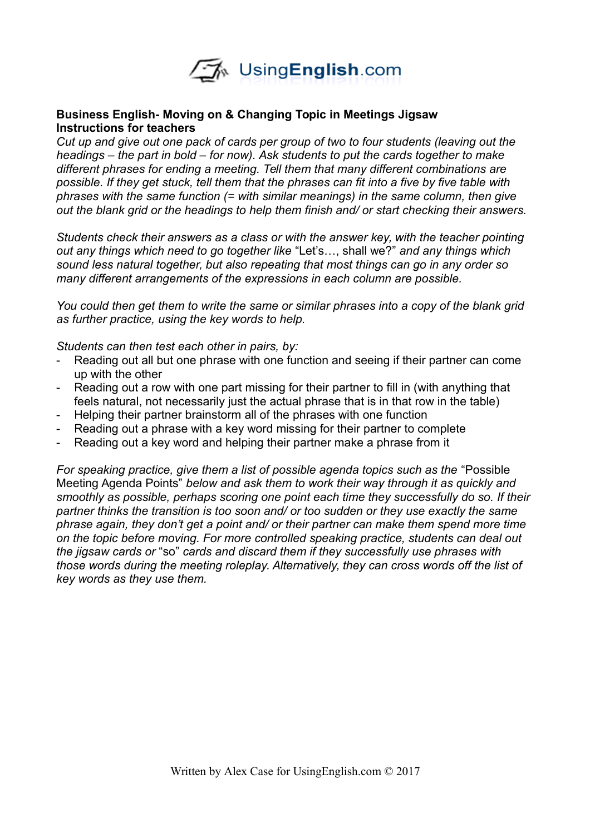

## **Business English- Moving on & Changing Topic in Meetings Jigsaw Instructions for teachers**

*Cut up and give out one pack of cards per group of two to four students (leaving out the headings – the part in bold – for now). Ask students to put the cards together to make different phrases for ending a meeting. Tell them that many different combinations are possible. If they get stuck, tell them that the phrases can fit into a five by five table with phrases with the same function (= with similar meanings) in the same column, then give out the blank grid or the headings to help them finish and/ or start checking their answers.* 

*Students check their answers as a class or with the answer key, with the teacher pointing out any things which need to go together like* "Let's…, shall we?" *and any things which sound less natural together, but also repeating that most things can go in any order so many different arrangements of the expressions in each column are possible.* 

*You could then get them to write the same or similar phrases into a copy of the blank grid as further practice, using the key words to help.*

*Students can then test each other in pairs, by:*

- Reading out all but one phrase with one function and seeing if their partner can come up with the other
- Reading out a row with one part missing for their partner to fill in (with anything that feels natural, not necessarily just the actual phrase that is in that row in the table)
- Helping their partner brainstorm all of the phrases with one function
- Reading out a phrase with a key word missing for their partner to complete
- Reading out a key word and helping their partner make a phrase from it

*For speaking practice, give them a list of possible agenda topics such as the* "Possible Meeting Agenda Points" *below and ask them to work their way through it as quickly and smoothly as possible, perhaps scoring one point each time they successfully do so. If their partner thinks the transition is too soon and/ or too sudden or they use exactly the same phrase again, they don't get a point and/ or their partner can make them spend more time on the topic before moving. For more controlled speaking practice, students can deal out the jigsaw cards or* "so" *cards and discard them if they successfully use phrases with those words during the meeting roleplay. Alternatively, they can cross words off the list of key words as they use them.*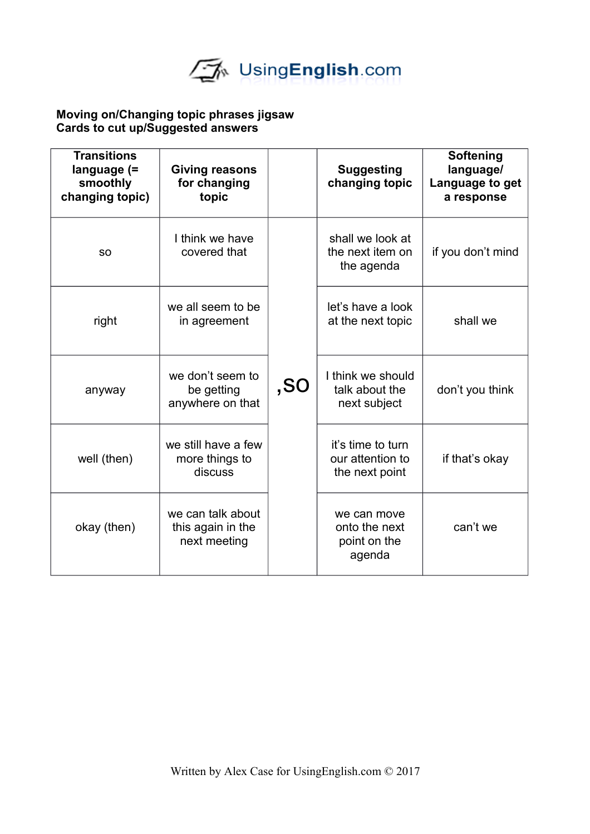

## **Moving on/Changing topic phrases jigsaw Cards to cut up/Suggested answers**

| <b>Transitions</b><br>language (=<br>smoothly<br>changing topic) | Giving reasons<br>for changing<br>topic                |     | <b>Suggesting</b><br>changing topic                     | Softening<br>language/<br>Language to get<br>a response |
|------------------------------------------------------------------|--------------------------------------------------------|-----|---------------------------------------------------------|---------------------------------------------------------|
| <b>SO</b>                                                        | I think we have<br>covered that                        | ,SO | shall we look at<br>the next item on<br>the agenda      | if you don't mind                                       |
| right                                                            | we all seem to be<br>in agreement                      |     | let's have a look<br>at the next topic                  | shall we                                                |
| anyway                                                           | we don't seem to<br>be getting<br>anywhere on that     |     | I think we should<br>talk about the<br>next subject     | don't you think                                         |
| well (then)                                                      | we still have a few<br>more things to<br>discuss       |     | it's time to turn<br>our attention to<br>the next point | if that's okay                                          |
| okay (then)                                                      | we can talk about<br>this again in the<br>next meeting |     | we can move<br>onto the next<br>point on the<br>agenda  | can't we                                                |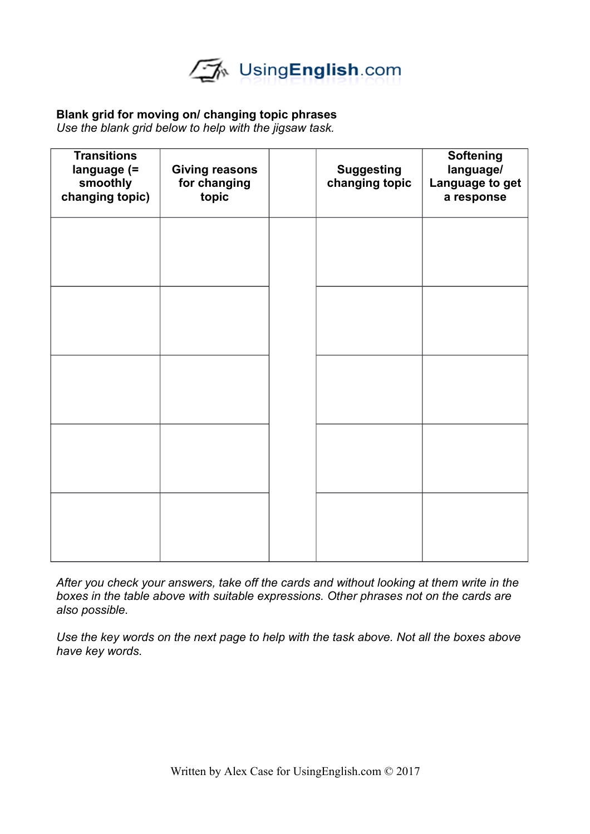

# **Blank grid for moving on/ changing topic phrases**

*Use the blank grid below to help with the jigsaw task.*

| <b>Transitions</b><br>language (=<br>smoothly<br>changing topic) | <b>Giving reasons</b><br>for changing<br>topic | <b>Suggesting</b><br>changing topic | <b>Softening</b><br>language/<br>Language to get<br>a response |
|------------------------------------------------------------------|------------------------------------------------|-------------------------------------|----------------------------------------------------------------|
|                                                                  |                                                |                                     |                                                                |
|                                                                  |                                                |                                     |                                                                |
|                                                                  |                                                |                                     |                                                                |
|                                                                  |                                                |                                     |                                                                |
|                                                                  |                                                |                                     |                                                                |

*After you check your answers, take off the cards and without looking at them write in the boxes in the table above with suitable expressions. Other phrases not on the cards are also possible.* 

*Use the key words on the next page to help with the task above. Not all the boxes above have key words.*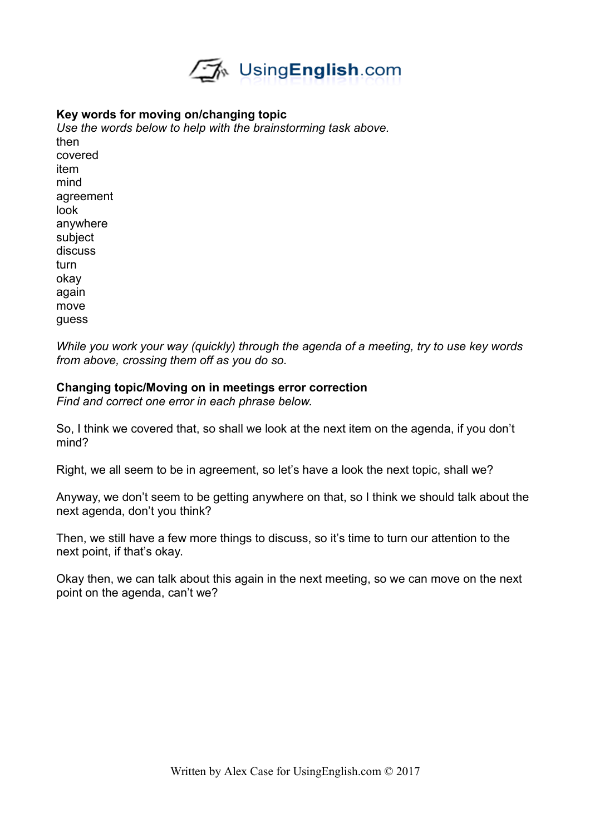

## **Key words for moving on/changing topic**

*Use the words below to help with the brainstorming task above.*  then covered item mind agreement look anywhere subject discuss turn okay again move guess

*While you work your way (quickly) through the agenda of a meeting, try to use key words from above, crossing them off as you do so.*

#### **Changing topic/Moving on in meetings error correction**

*Find and correct one error in each phrase below.* 

So, I think we covered that, so shall we look at the next item on the agenda, if you don't mind?

Right, we all seem to be in agreement, so let's have a look the next topic, shall we?

Anyway, we don't seem to be getting anywhere on that, so I think we should talk about the next agenda, don't you think?

Then, we still have a few more things to discuss, so it's time to turn our attention to the next point, if that's okay.

Okay then, we can talk about this again in the next meeting, so we can move on the next point on the agenda, can't we?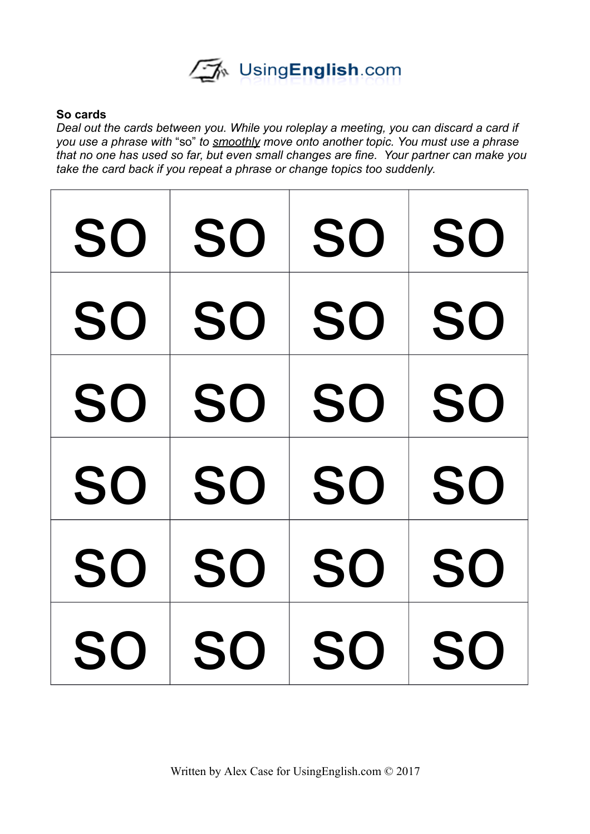

## **So cards**

*Deal out the cards between you. While you roleplay a meeting, you can discard a card if you use a phrase with* "so" *to smoothly move onto another topic. You must use a phrase that no one has used so far, but even small changes are fine. Your partner can make you take the card back if you repeat a phrase or change topics too suddenly.* 

| SO        | SO        | <b>SO</b> | SO        |
|-----------|-----------|-----------|-----------|
| <b>SO</b> | <b>SO</b> | <b>SO</b> | <b>SO</b> |
| <b>SO</b> | SO        | <b>SO</b> | <b>SO</b> |
| <b>SO</b> | SO        | <b>SO</b> | <b>SO</b> |
| SO        | <b>SO</b> | <b>SO</b> | <b>SO</b> |
| SO        | <b>SO</b> | <b>SO</b> | SO        |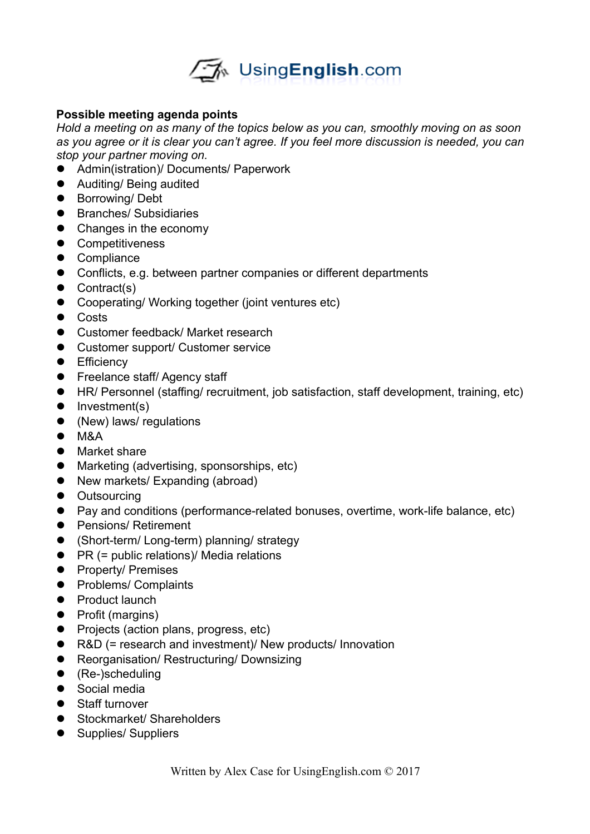

# **Possible meeting agenda points**

*Hold a meeting on as many of the topics below as you can, smoothly moving on as soon as you agree or it is clear you can't agree. If you feel more discussion is needed, you can stop your partner moving on.* 

- Admin(istration)/ Documents/ Paperwork
- Auditing/ Being audited
- Borrowing/Debt
- **•** Branches/ Subsidiaries
- Changes in the economy
- **•** Competitiveness
- Compliance
- Conflicts, e.g. between partner companies or different departments
- Contract(s)
- Cooperating/ Working together (joint ventures etc)
- **•** Costs
- Customer feedback/ Market research
- Customer support/ Customer service
- **•** Efficiency
- **•** Freelance staff/ Agency staff
- HR/ Personnel (staffing/ recruitment, job satisfaction, staff development, training, etc)
- $\bullet$  Investment(s)
- (New) laws/ regulations
- $\bullet$  M&A
- Market share
- Marketing (advertising, sponsorships, etc)
- New markets/ Expanding (abroad)
- Outsourcing
- Pay and conditions (performance-related bonuses, overtime, work-life balance, etc)
- **•** Pensions/ Retirement
- (Short-term/ Long-term) planning/ strategy
- PR (= public relations)/ Media relations
- Property/ Premises
- Problems/ Complaints
- Product launch
- Profit (margins)
- Projects (action plans, progress, etc)
- R&D (= research and investment)/ New products/ Innovation
- Reorganisation/ Restructuring/ Downsizing
- (Re-)scheduling
- Social media
- Staff turnover
- **•** Stockmarket/ Shareholders
- Supplies/ Suppliers